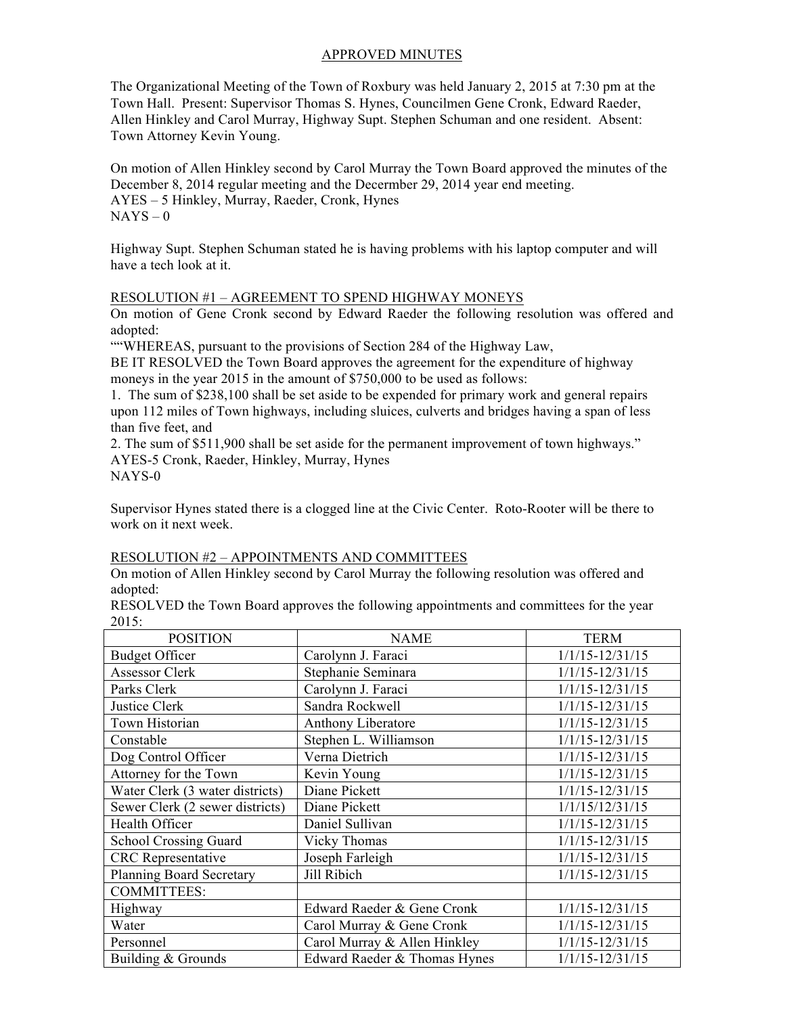# APPROVED MINUTES

The Organizational Meeting of the Town of Roxbury was held January 2, 2015 at 7:30 pm at the Town Hall. Present: Supervisor Thomas S. Hynes, Councilmen Gene Cronk, Edward Raeder, Allen Hinkley and Carol Murray, Highway Supt. Stephen Schuman and one resident. Absent: Town Attorney Kevin Young.

On motion of Allen Hinkley second by Carol Murray the Town Board approved the minutes of the December 8, 2014 regular meeting and the Decermber 29, 2014 year end meeting. AYES – 5 Hinkley, Murray, Raeder, Cronk, Hynes  $NAYS - 0$ 

Highway Supt. Stephen Schuman stated he is having problems with his laptop computer and will have a tech look at it.

#### RESOLUTION #1 – AGREEMENT TO SPEND HIGHWAY MONEYS

On motion of Gene Cronk second by Edward Raeder the following resolution was offered and adopted:

""WHEREAS, pursuant to the provisions of Section 284 of the Highway Law,

BE IT RESOLVED the Town Board approves the agreement for the expenditure of highway moneys in the year 2015 in the amount of \$750,000 to be used as follows:

1. The sum of \$238,100 shall be set aside to be expended for primary work and general repairs upon 112 miles of Town highways, including sluices, culverts and bridges having a span of less than five feet, and

2. The sum of \$511,900 shall be set aside for the permanent improvement of town highways." AYES-5 Cronk, Raeder, Hinkley, Murray, Hynes

NAYS-0

Supervisor Hynes stated there is a clogged line at the Civic Center. Roto-Rooter will be there to work on it next week.

#### RESOLUTION #2 – APPOINTMENTS AND COMMITTEES

On motion of Allen Hinkley second by Carol Murray the following resolution was offered and adopted:

RESOLVED the Town Board approves the following appointments and committees for the year 2015:

| <b>POSITION</b>                 | <b>NAME</b>                  | <b>TERM</b>         |
|---------------------------------|------------------------------|---------------------|
| <b>Budget Officer</b>           | Carolynn J. Faraci           | $1/1/15 - 12/31/15$ |
| <b>Assessor Clerk</b>           | Stephanie Seminara           | $1/1/15 - 12/31/15$ |
| Parks Clerk                     | Carolynn J. Faraci           | $1/1/15 - 12/31/15$ |
| Justice Clerk                   | Sandra Rockwell              | $1/1/15 - 12/31/15$ |
| Town Historian                  | Anthony Liberatore           | $1/1/15 - 12/31/15$ |
| Constable                       | Stephen L. Williamson        | $1/1/15 - 12/31/15$ |
| Dog Control Officer             | Verna Dietrich               | $1/1/15 - 12/31/15$ |
| Attorney for the Town           | Kevin Young                  | $1/1/15 - 12/31/15$ |
| Water Clerk (3 water districts) | Diane Pickett                | $1/1/15 - 12/31/15$ |
| Sewer Clerk (2 sewer districts) | Diane Pickett                | 1/1/15/12/31/15     |
| Health Officer                  | Daniel Sullivan              | $1/1/15 - 12/31/15$ |
| <b>School Crossing Guard</b>    | Vicky Thomas                 | $1/1/15 - 12/31/15$ |
| <b>CRC</b> Representative       | Joseph Farleigh              | $1/1/15 - 12/31/15$ |
| <b>Planning Board Secretary</b> | Jill Ribich                  | $1/1/15 - 12/31/15$ |
| <b>COMMITTEES:</b>              |                              |                     |
| Highway                         | Edward Raeder & Gene Cronk   | $1/1/15 - 12/31/15$ |
| Water                           | Carol Murray & Gene Cronk    | $1/1/15 - 12/31/15$ |
| Personnel                       | Carol Murray & Allen Hinkley | $1/1/15 - 12/31/15$ |
| Building & Grounds              | Edward Raeder & Thomas Hynes | $1/1/15 - 12/31/15$ |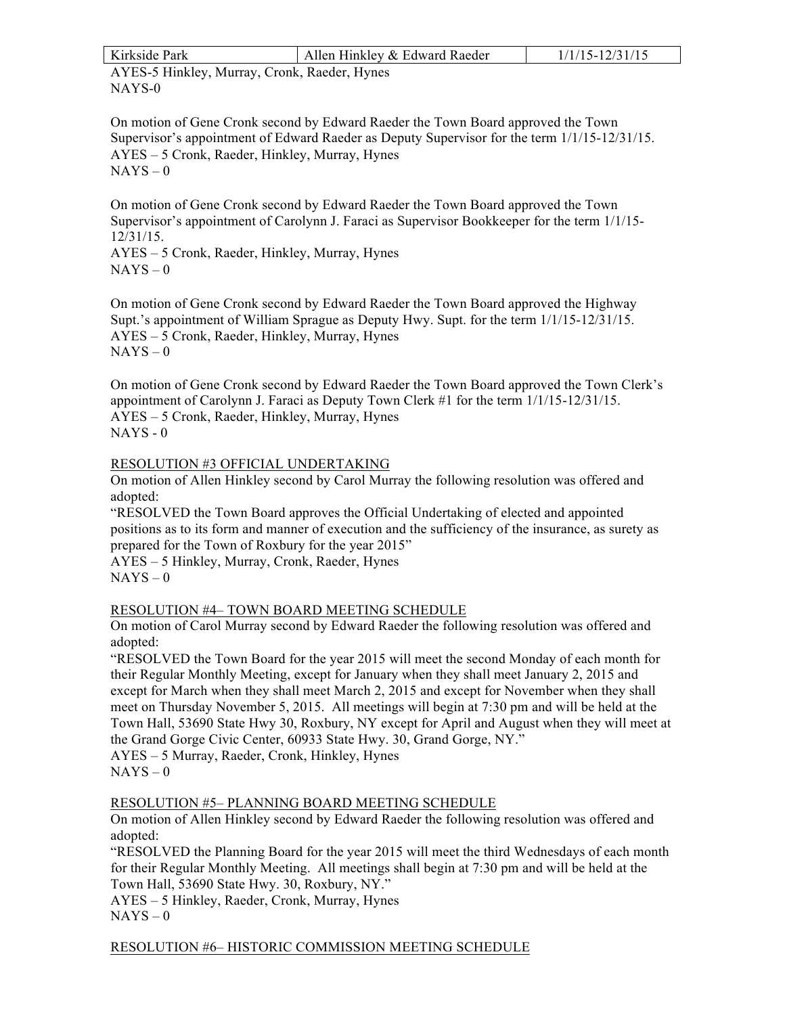| Kirkside Park                                                                                                                                                                                                                                                    | Allen Hinkley & Edward Raeder | $1/1/15 - 12/31/15$ |  |  |  |  |
|------------------------------------------------------------------------------------------------------------------------------------------------------------------------------------------------------------------------------------------------------------------|-------------------------------|---------------------|--|--|--|--|
| AYES-5 Hinkley, Murray, Cronk, Raeder, Hynes                                                                                                                                                                                                                     |                               |                     |  |  |  |  |
| NAYS-0                                                                                                                                                                                                                                                           |                               |                     |  |  |  |  |
|                                                                                                                                                                                                                                                                  |                               |                     |  |  |  |  |
| On motion of Gene Cronk second by Edward Raeder the Town Board approved the Town<br>Supervisor's appointment of Edward Raeder as Deputy Supervisor for the term 1/1/15-12/31/15.<br>AYES – 5 Cronk, Raeder, Hinkley, Murray, Hynes<br>$NAYS - 0$                 |                               |                     |  |  |  |  |
| On motion of Gene Cronk second by Edward Raeder the Town Board approved the Town<br>Supervisor's appointment of Carolynn J. Faraci as Supervisor Bookkeeper for the term 1/1/15-<br>$12/31/15$ .<br>AYES – 5 Cronk, Raeder, Hinkley, Murray, Hynes<br>$NAYS - 0$ |                               |                     |  |  |  |  |

On motion of Gene Cronk second by Edward Raeder the Town Board approved the Highway Supt.'s appointment of William Sprague as Deputy Hwy. Supt. for the term 1/1/15-12/31/15. AYES – 5 Cronk, Raeder, Hinkley, Murray, Hynes  $NAYS - 0$ 

On motion of Gene Cronk second by Edward Raeder the Town Board approved the Town Clerk's appointment of Carolynn J. Faraci as Deputy Town Clerk #1 for the term 1/1/15-12/31/15. AYES – 5 Cronk, Raeder, Hinkley, Murray, Hynes  $NAYS - 0$ 

# RESOLUTION #3 OFFICIAL UNDERTAKING

On motion of Allen Hinkley second by Carol Murray the following resolution was offered and adopted:

"RESOLVED the Town Board approves the Official Undertaking of elected and appointed positions as to its form and manner of execution and the sufficiency of the insurance, as surety as prepared for the Town of Roxbury for the year 2015"

AYES – 5 Hinkley, Murray, Cronk, Raeder, Hynes  $NAYS - 0$ 

## RESOLUTION #4– TOWN BOARD MEETING SCHEDULE

On motion of Carol Murray second by Edward Raeder the following resolution was offered and adopted:

"RESOLVED the Town Board for the year 2015 will meet the second Monday of each month for their Regular Monthly Meeting, except for January when they shall meet January 2, 2015 and except for March when they shall meet March 2, 2015 and except for November when they shall meet on Thursday November 5, 2015. All meetings will begin at 7:30 pm and will be held at the Town Hall, 53690 State Hwy 30, Roxbury, NY except for April and August when they will meet at the Grand Gorge Civic Center, 60933 State Hwy. 30, Grand Gorge, NY."

AYES – 5 Murray, Raeder, Cronk, Hinkley, Hynes

## RESOLUTION #5– PLANNING BOARD MEETING SCHEDULE

On motion of Allen Hinkley second by Edward Raeder the following resolution was offered and adopted:

"RESOLVED the Planning Board for the year 2015 will meet the third Wednesdays of each month for their Regular Monthly Meeting. All meetings shall begin at 7:30 pm and will be held at the Town Hall, 53690 State Hwy. 30, Roxbury, NY."

AYES – 5 Hinkley, Raeder, Cronk, Murray, Hynes  $NAYS - 0$ 

RESOLUTION #6– HISTORIC COMMISSION MEETING SCHEDULE

 $NAYS - 0$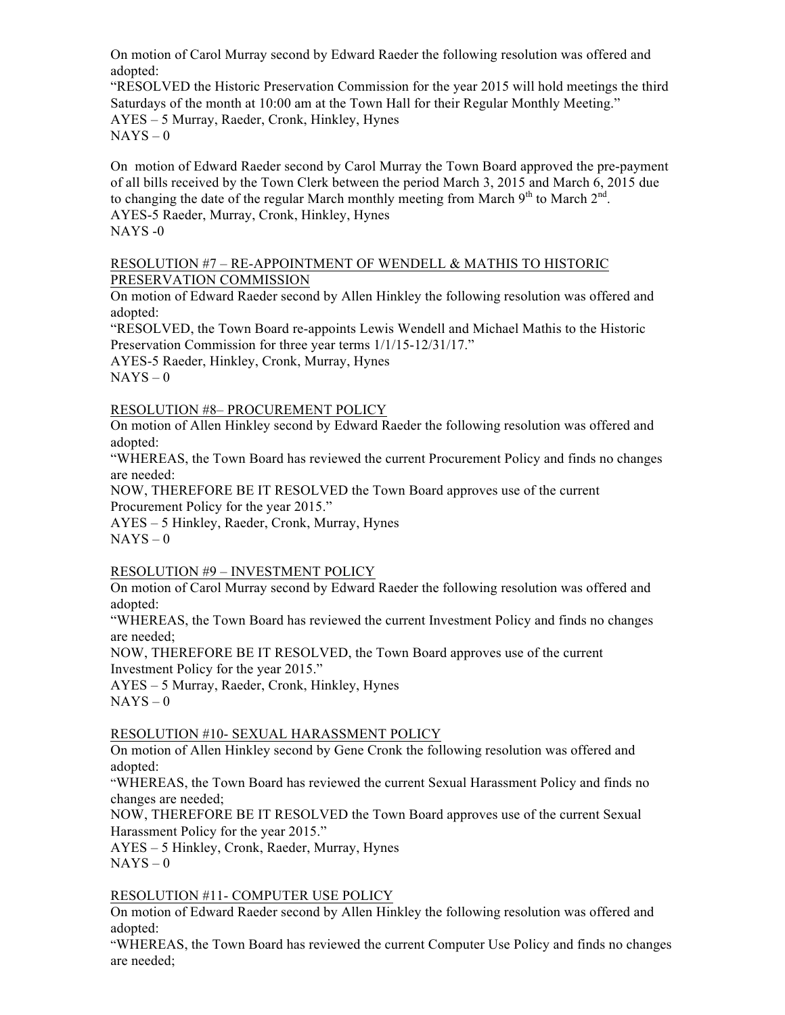On motion of Carol Murray second by Edward Raeder the following resolution was offered and adopted:

"RESOLVED the Historic Preservation Commission for the year 2015 will hold meetings the third Saturdays of the month at 10:00 am at the Town Hall for their Regular Monthly Meeting." AYES – 5 Murray, Raeder, Cronk, Hinkley, Hynes  $NAYS - 0$ 

On motion of Edward Raeder second by Carol Murray the Town Board approved the pre-payment of all bills received by the Town Clerk between the period March 3, 2015 and March 6, 2015 due to changing the date of the regular March monthly meeting from March  $9<sup>th</sup>$  to March  $2<sup>nd</sup>$ . AYES-5 Raeder, Murray, Cronk, Hinkley, Hynes NAYS -0

## RESOLUTION #7 – RE-APPOINTMENT OF WENDELL & MATHIS TO HISTORIC PRESERVATION COMMISSION

On motion of Edward Raeder second by Allen Hinkley the following resolution was offered and adopted:

"RESOLVED, the Town Board re-appoints Lewis Wendell and Michael Mathis to the Historic Preservation Commission for three year terms  $1/1/15-12/31/17$ ."

AYES-5 Raeder, Hinkley, Cronk, Murray, Hynes  $NAYS - 0$ 

# RESOLUTION #8– PROCUREMENT POLICY

On motion of Allen Hinkley second by Edward Raeder the following resolution was offered and adopted:

"WHEREAS, the Town Board has reviewed the current Procurement Policy and finds no changes are needed:

NOW, THEREFORE BE IT RESOLVED the Town Board approves use of the current Procurement Policy for the year 2015."

AYES – 5 Hinkley, Raeder, Cronk, Murray, Hynes

 $NAYS - 0$ 

RESOLUTION #9 – INVESTMENT POLICY

On motion of Carol Murray second by Edward Raeder the following resolution was offered and adopted:

"WHEREAS, the Town Board has reviewed the current Investment Policy and finds no changes are needed;

NOW, THEREFORE BE IT RESOLVED, the Town Board approves use of the current Investment Policy for the year 2015."

AYES – 5 Murray, Raeder, Cronk, Hinkley, Hynes  $NAYS - 0$ 

# RESOLUTION #10- SEXUAL HARASSMENT POLICY

On motion of Allen Hinkley second by Gene Cronk the following resolution was offered and adopted:

"WHEREAS, the Town Board has reviewed the current Sexual Harassment Policy and finds no changes are needed;

NOW, THEREFORE BE IT RESOLVED the Town Board approves use of the current Sexual Harassment Policy for the year 2015."

AYES – 5 Hinkley, Cronk, Raeder, Murray, Hynes  $NAYS - 0$ 

## RESOLUTION #11- COMPUTER USE POLICY

On motion of Edward Raeder second by Allen Hinkley the following resolution was offered and adopted:

"WHEREAS, the Town Board has reviewed the current Computer Use Policy and finds no changes are needed;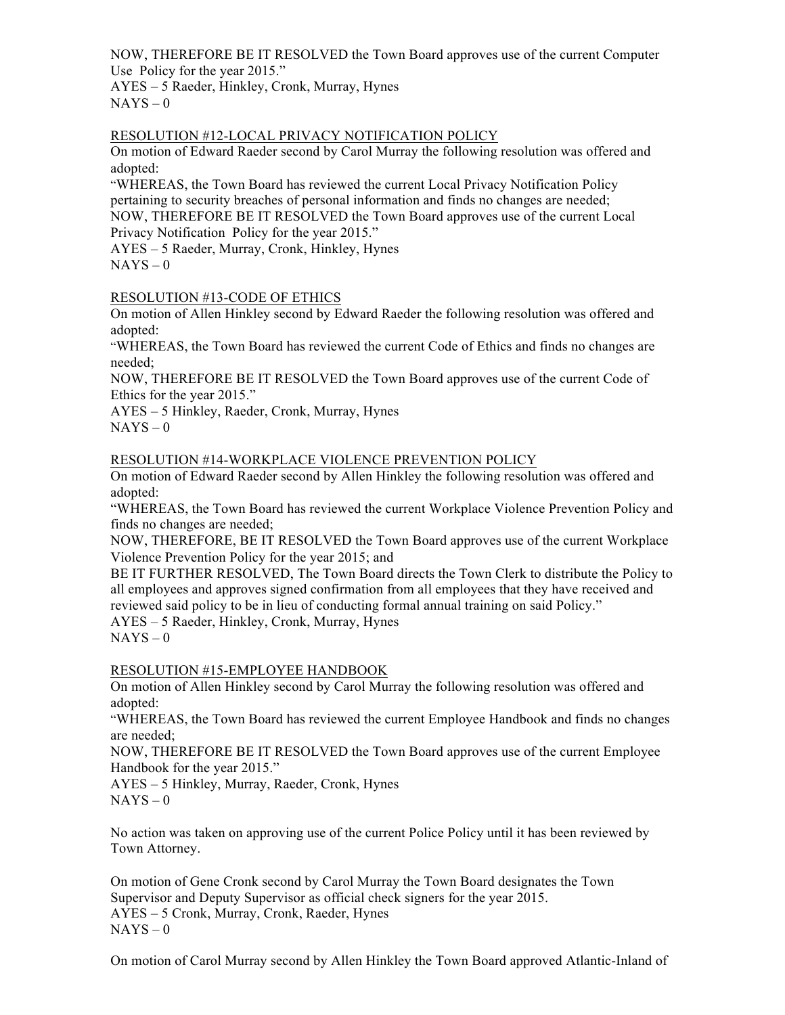NOW, THEREFORE BE IT RESOLVED the Town Board approves use of the current Computer Use Policy for the year 2015."

AYES – 5 Raeder, Hinkley, Cronk, Murray, Hynes  $NAYS - 0$ 

## RESOLUTION #12-LOCAL PRIVACY NOTIFICATION POLICY

On motion of Edward Raeder second by Carol Murray the following resolution was offered and adopted:

"WHEREAS, the Town Board has reviewed the current Local Privacy Notification Policy pertaining to security breaches of personal information and finds no changes are needed; NOW, THEREFORE BE IT RESOLVED the Town Board approves use of the current Local Privacy Notification Policy for the year 2015."

AYES – 5 Raeder, Murray, Cronk, Hinkley, Hynes

 $NAYS - 0$ 

## RESOLUTION #13-CODE OF ETHICS

On motion of Allen Hinkley second by Edward Raeder the following resolution was offered and adopted:

"WHEREAS, the Town Board has reviewed the current Code of Ethics and finds no changes are needed;

NOW, THEREFORE BE IT RESOLVED the Town Board approves use of the current Code of Ethics for the year 2015."

AYES – 5 Hinkley, Raeder, Cronk, Murray, Hynes  $NAYS - 0$ 

#### RESOLUTION #14-WORKPLACE VIOLENCE PREVENTION POLICY

On motion of Edward Raeder second by Allen Hinkley the following resolution was offered and adopted:

"WHEREAS, the Town Board has reviewed the current Workplace Violence Prevention Policy and finds no changes are needed;

NOW, THEREFORE, BE IT RESOLVED the Town Board approves use of the current Workplace Violence Prevention Policy for the year 2015; and

BE IT FURTHER RESOLVED, The Town Board directs the Town Clerk to distribute the Policy to all employees and approves signed confirmation from all employees that they have received and reviewed said policy to be in lieu of conducting formal annual training on said Policy."

AYES – 5 Raeder, Hinkley, Cronk, Murray, Hynes  $NAYS - 0$ 

## RESOLUTION #15-EMPLOYEE HANDBOOK

On motion of Allen Hinkley second by Carol Murray the following resolution was offered and adopted:

"WHEREAS, the Town Board has reviewed the current Employee Handbook and finds no changes are needed;

NOW, THEREFORE BE IT RESOLVED the Town Board approves use of the current Employee Handbook for the year 2015."

AYES – 5 Hinkley, Murray, Raeder, Cronk, Hynes  $NAYS - 0$ 

No action was taken on approving use of the current Police Policy until it has been reviewed by Town Attorney.

On motion of Gene Cronk second by Carol Murray the Town Board designates the Town Supervisor and Deputy Supervisor as official check signers for the year 2015. AYES – 5 Cronk, Murray, Cronk, Raeder, Hynes  $NAYS - 0$ 

On motion of Carol Murray second by Allen Hinkley the Town Board approved Atlantic-Inland of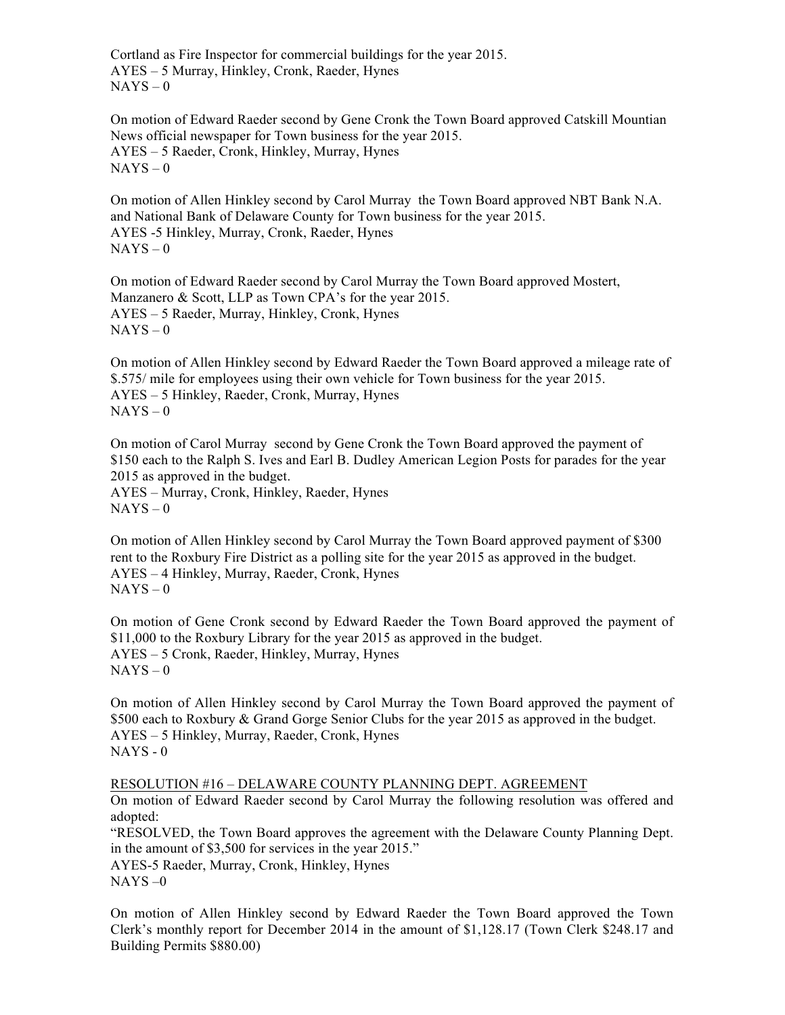Cortland as Fire Inspector for commercial buildings for the year 2015. AYES – 5 Murray, Hinkley, Cronk, Raeder, Hynes  $NAYS - 0$ 

On motion of Edward Raeder second by Gene Cronk the Town Board approved Catskill Mountian News official newspaper for Town business for the year 2015. AYES – 5 Raeder, Cronk, Hinkley, Murray, Hynes  $NAYS - 0$ 

On motion of Allen Hinkley second by Carol Murray the Town Board approved NBT Bank N.A. and National Bank of Delaware County for Town business for the year 2015. AYES -5 Hinkley, Murray, Cronk, Raeder, Hynes  $NAYS - 0$ 

On motion of Edward Raeder second by Carol Murray the Town Board approved Mostert, Manzanero & Scott, LLP as Town CPA's for the year 2015. AYES – 5 Raeder, Murray, Hinkley, Cronk, Hynes  $NAYS - 0$ 

On motion of Allen Hinkley second by Edward Raeder the Town Board approved a mileage rate of \$.575/ mile for employees using their own vehicle for Town business for the year 2015. AYES – 5 Hinkley, Raeder, Cronk, Murray, Hynes  $NAYS - 0$ 

On motion of Carol Murray second by Gene Cronk the Town Board approved the payment of \$150 each to the Ralph S. Ives and Earl B. Dudley American Legion Posts for parades for the year 2015 as approved in the budget.

AYES – Murray, Cronk, Hinkley, Raeder, Hynes  $NAYS - 0$ 

On motion of Allen Hinkley second by Carol Murray the Town Board approved payment of \$300 rent to the Roxbury Fire District as a polling site for the year 2015 as approved in the budget. AYES – 4 Hinkley, Murray, Raeder, Cronk, Hynes  $NAYS - 0$ 

On motion of Gene Cronk second by Edward Raeder the Town Board approved the payment of \$11,000 to the Roxbury Library for the year 2015 as approved in the budget. AYES – 5 Cronk, Raeder, Hinkley, Murray, Hynes  $NAYS - 0$ 

On motion of Allen Hinkley second by Carol Murray the Town Board approved the payment of \$500 each to Roxbury & Grand Gorge Senior Clubs for the year 2015 as approved in the budget. AYES – 5 Hinkley, Murray, Raeder, Cronk, Hynes NAYS - 0

RESOLUTION #16 – DELAWARE COUNTY PLANNING DEPT. AGREEMENT

On motion of Edward Raeder second by Carol Murray the following resolution was offered and adopted:

"RESOLVED, the Town Board approves the agreement with the Delaware County Planning Dept. in the amount of \$3,500 for services in the year 2015."

AYES-5 Raeder, Murray, Cronk, Hinkley, Hynes NAYS –0

On motion of Allen Hinkley second by Edward Raeder the Town Board approved the Town Clerk's monthly report for December 2014 in the amount of \$1,128.17 (Town Clerk \$248.17 and Building Permits \$880.00)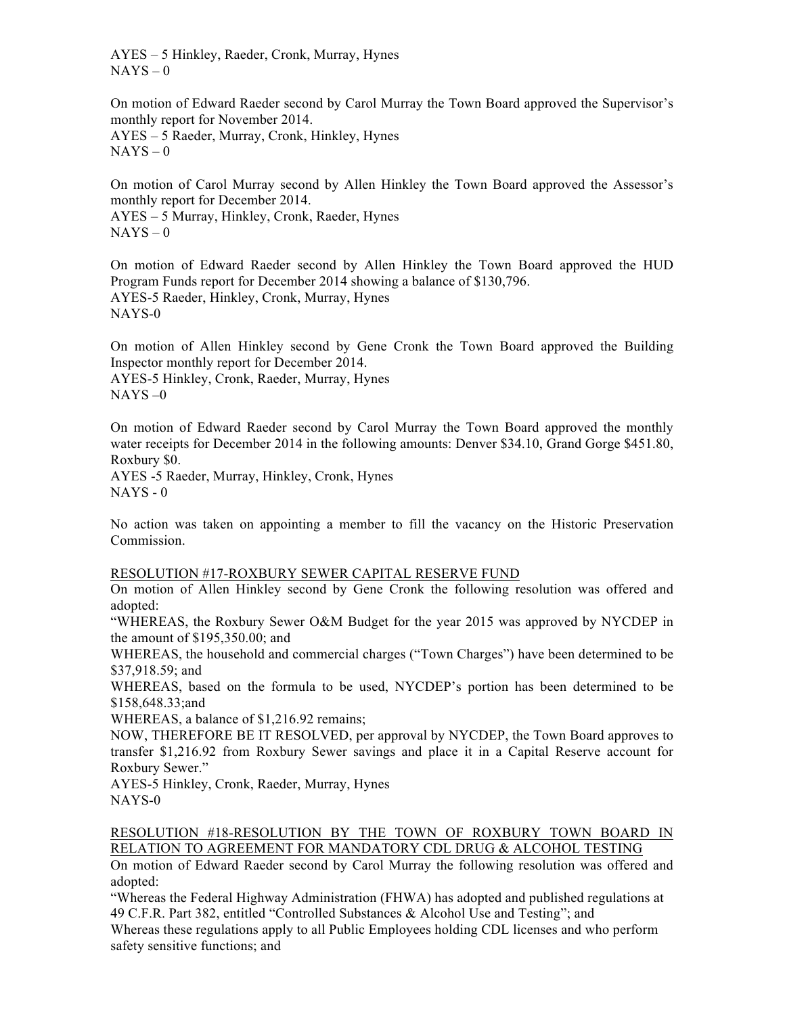AYES – 5 Hinkley, Raeder, Cronk, Murray, Hynes  $NAYS - 0$ 

On motion of Edward Raeder second by Carol Murray the Town Board approved the Supervisor's monthly report for November 2014.

AYES – 5 Raeder, Murray, Cronk, Hinkley, Hynes  $NAYS - 0$ 

On motion of Carol Murray second by Allen Hinkley the Town Board approved the Assessor's monthly report for December 2014.

AYES – 5 Murray, Hinkley, Cronk, Raeder, Hynes  $NAYS - 0$ 

On motion of Edward Raeder second by Allen Hinkley the Town Board approved the HUD Program Funds report for December 2014 showing a balance of \$130,796. AYES-5 Raeder, Hinkley, Cronk, Murray, Hynes NAYS-0

On motion of Allen Hinkley second by Gene Cronk the Town Board approved the Building Inspector monthly report for December 2014. AYES-5 Hinkley, Cronk, Raeder, Murray, Hynes  $NAYS - 0$ 

On motion of Edward Raeder second by Carol Murray the Town Board approved the monthly water receipts for December 2014 in the following amounts: Denver \$34.10, Grand Gorge \$451.80, Roxbury \$0.

AYES -5 Raeder, Murray, Hinkley, Cronk, Hynes  $NAYS - 0$ 

No action was taken on appointing a member to fill the vacancy on the Historic Preservation Commission.

## RESOLUTION #17-ROXBURY SEWER CAPITAL RESERVE FUND

On motion of Allen Hinkley second by Gene Cronk the following resolution was offered and adopted:

"WHEREAS, the Roxbury Sewer O&M Budget for the year 2015 was approved by NYCDEP in the amount of \$195,350.00; and

WHEREAS, the household and commercial charges ("Town Charges") have been determined to be \$37,918.59; and

WHEREAS, based on the formula to be used, NYCDEP's portion has been determined to be \$158,648.33;and

WHEREAS, a balance of \$1,216.92 remains;

NOW, THEREFORE BE IT RESOLVED, per approval by NYCDEP, the Town Board approves to transfer \$1,216.92 from Roxbury Sewer savings and place it in a Capital Reserve account for Roxbury Sewer."

AYES-5 Hinkley, Cronk, Raeder, Murray, Hynes NAYS-0

## RESOLUTION #18-RESOLUTION BY THE TOWN OF ROXBURY TOWN BOARD IN RELATION TO AGREEMENT FOR MANDATORY CDL DRUG & ALCOHOL TESTING

On motion of Edward Raeder second by Carol Murray the following resolution was offered and adopted:

"Whereas the Federal Highway Administration (FHWA) has adopted and published regulations at 49 C.F.R. Part 382, entitled "Controlled Substances & Alcohol Use and Testing"; and

Whereas these regulations apply to all Public Employees holding CDL licenses and who perform safety sensitive functions; and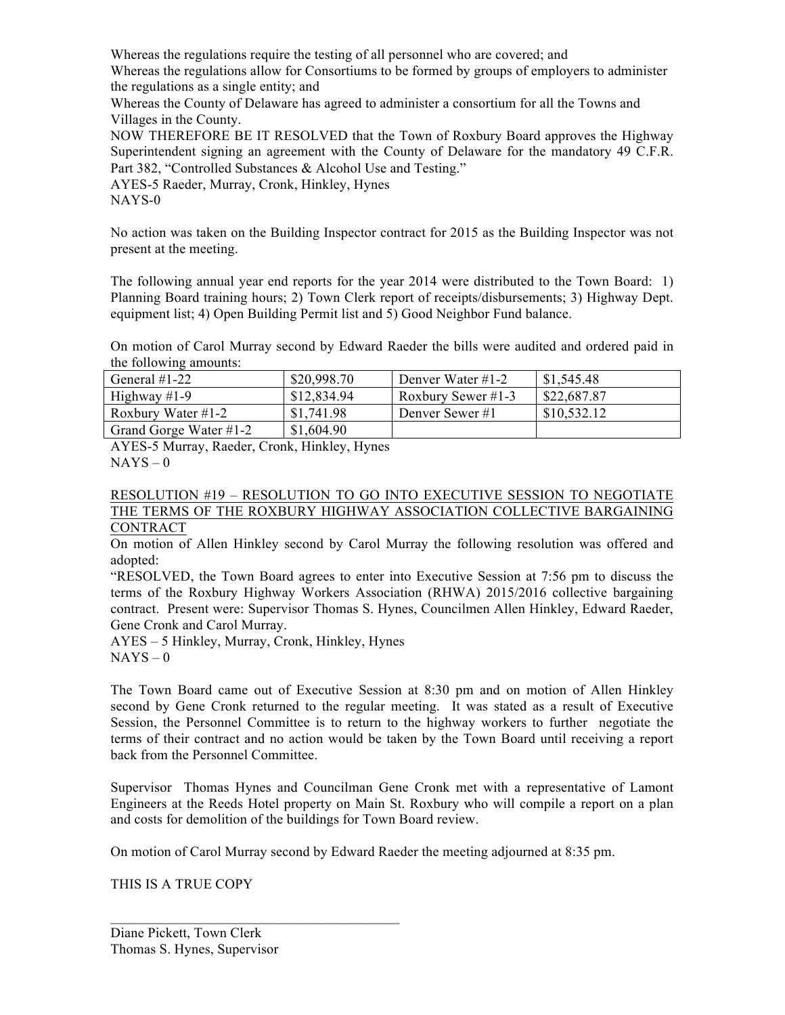Whereas the regulations require the testing of all personnel who are covered; and Whereas the regulations allow for Consortiums to be formed by groups of employers to administer

the regulations as a single entity; and

Whereas the County of Delaware has agreed to administer a consortium for all the Towns and Villages in the County.

NOW THEREFORE BE IT RESOLVED that the Town of Roxbury Board approves the Highway Superintendent signing an agreement with the County of Delaware for the mandatory 49 C.F.R. Part 382, "Controlled Substances & Alcohol Use and Testing."

AYES-5 Raeder, Murray, Cronk, Hinkley, Hynes

NAYS-0

No action was taken on the Building Inspector contract for 2015 as the Building Inspector was not present at the meeting.

The following annual year end reports for the year 2014 were distributed to the Town Board: 1) Planning Board training hours; 2) Town Clerk report of receipts/disbursements; 3) Highway Dept. equipment list; 4) Open Building Permit list and 5) Good Neighbor Fund balance.

On motion of Carol Murray second by Edward Raeder the bills were audited and ordered paid in the following amounts:

| General $#1-22$        | \$20,998.70 | Denver Water #1-2  | \$1,545.48  |
|------------------------|-------------|--------------------|-------------|
| Highway $#1-9$         | \$12,834.94 | Roxbury Sewer #1-3 | \$22,687.87 |
| Roxbury Water #1-2     | \$1,741.98  | Denver Sewer #1    | \$10,532.12 |
| Grand Gorge Water #1-2 | \$1,604.90  |                    |             |

AYES-5 Murray, Raeder, Cronk, Hinkley, Hynes  $NAYS - 0$ 

#### RESOLUTION #19 – RESOLUTION TO GO INTO EXECUTIVE SESSION TO NEGOTIATE THE TERMS OF THE ROXBURY HIGHWAY ASSOCIATION COLLECTIVE BARGAINING **CONTRACT**

On motion of Allen Hinkley second by Carol Murray the following resolution was offered and adopted:

"RESOLVED, the Town Board agrees to enter into Executive Session at 7:56 pm to discuss the terms of the Roxbury Highway Workers Association (RHWA) 2015/2016 collective bargaining contract. Present were: Supervisor Thomas S. Hynes, Councilmen Allen Hinkley, Edward Raeder, Gene Cronk and Carol Murray.

AYES – 5 Hinkley, Murray, Cronk, Hinkley, Hynes  $NAYS - 0$ 

 $\overline{\phantom{a}}$  , where  $\overline{\phantom{a}}$  , where  $\overline{\phantom{a}}$  ,  $\overline{\phantom{a}}$  ,  $\overline{\phantom{a}}$  ,  $\overline{\phantom{a}}$  ,  $\overline{\phantom{a}}$  ,  $\overline{\phantom{a}}$  ,  $\overline{\phantom{a}}$  ,  $\overline{\phantom{a}}$  ,  $\overline{\phantom{a}}$  ,  $\overline{\phantom{a}}$  ,  $\overline{\phantom{a}}$  ,  $\overline{\phantom{a}}$  ,  $\overline{\phantom{a}}$  ,

The Town Board came out of Executive Session at 8:30 pm and on motion of Allen Hinkley second by Gene Cronk returned to the regular meeting. It was stated as a result of Executive Session, the Personnel Committee is to return to the highway workers to further negotiate the terms of their contract and no action would be taken by the Town Board until receiving a report back from the Personnel Committee.

Supervisor Thomas Hynes and Councilman Gene Cronk met with a representative of Lamont Engineers at the Reeds Hotel property on Main St. Roxbury who will compile a report on a plan and costs for demolition of the buildings for Town Board review.

On motion of Carol Murray second by Edward Raeder the meeting adjourned at 8:35 pm.

THIS IS A TRUE COPY